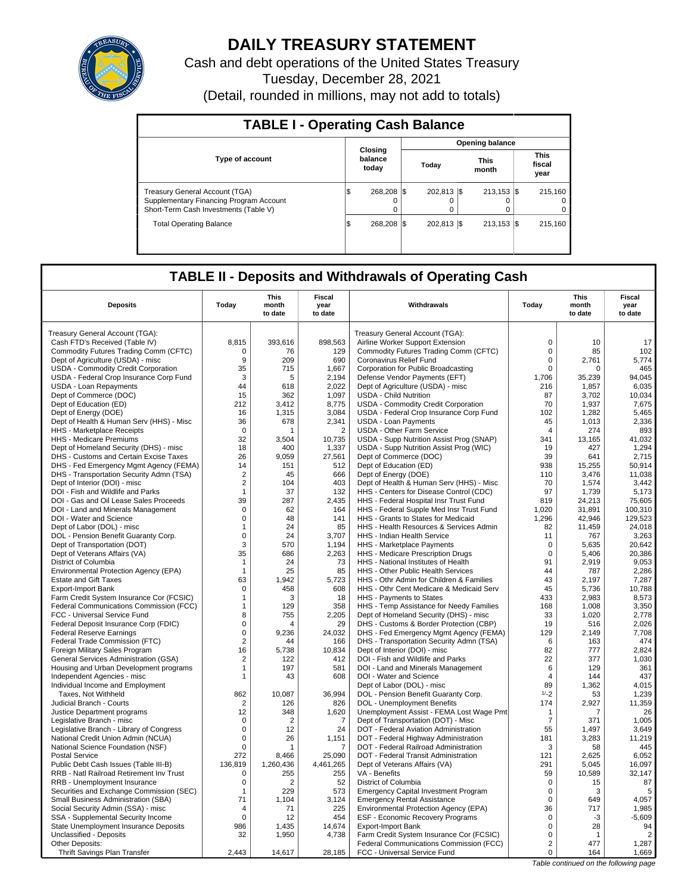

# **DAILY TREASURY STATEMENT**

Cash and debt operations of the United States Treasury Tuesday, December 28, 2021 (Detail, rounded in millions, may not add to totals)

| <b>TABLE I - Operating Cash Balance</b>                                                                                   |   |                             |                        |             |  |                           |  |                                   |  |  |  |  |
|---------------------------------------------------------------------------------------------------------------------------|---|-----------------------------|------------------------|-------------|--|---------------------------|--|-----------------------------------|--|--|--|--|
|                                                                                                                           |   |                             | <b>Opening balance</b> |             |  |                           |  |                                   |  |  |  |  |
| <b>Type of account</b>                                                                                                    |   | Closing<br>balance<br>today |                        | Today       |  | <b>This</b><br>month      |  | <b>This</b><br>fiscal<br>year     |  |  |  |  |
| <b>Treasury General Account (TGA)</b><br>Supplementary Financing Program Account<br>Short-Term Cash Investments (Table V) | Φ | 268.208 \\$<br>$\Omega$     |                        | 202.813 \\$ |  | $213.153$ $\sqrt{5}$<br>0 |  | 215.160<br>$^{\circ}$<br>$\Omega$ |  |  |  |  |
| <b>Total Operating Balance</b>                                                                                            | Φ | 268.208 \\$                 |                        | 202.813 \\$ |  | $213,153$ $\sqrt{5}$      |  | 215,160                           |  |  |  |  |

## **TABLE II - Deposits and Withdrawals of Operating Cash**

| <b>Deposits</b>                                                           | Today                      | This<br>month<br>to date | Fiscal<br>year<br>to date | Withdrawals                                                                 | Todav                | This<br>month<br>to date | Fiscal<br>year<br>to date |
|---------------------------------------------------------------------------|----------------------------|--------------------------|---------------------------|-----------------------------------------------------------------------------|----------------------|--------------------------|---------------------------|
|                                                                           |                            |                          |                           |                                                                             |                      |                          |                           |
| Treasury General Account (TGA):                                           |                            |                          |                           | Treasury General Account (TGA):                                             |                      |                          |                           |
| Cash FTD's Received (Table IV)                                            | 8,815                      | 393,616                  | 898,563                   | Airline Worker Support Extension                                            | $\mathbf 0$          | 10                       | 17                        |
| Commodity Futures Trading Comm (CFTC)                                     | 0                          | 76                       | 129                       | Commodity Futures Trading Comm (CFTC)                                       | $\mathsf 0$          | 85                       | 102                       |
| Dept of Agriculture (USDA) - misc                                         | 9                          | 209                      | 690                       | Coronavirus Relief Fund                                                     | $\mathbf 0$          | 2,761                    | 5,774                     |
| USDA - Commodity Credit Corporation                                       | 35                         | 715                      | 1,667                     | Corporation for Public Broadcasting                                         | 0                    | $\mathbf 0$              | 465                       |
| USDA - Federal Crop Insurance Corp Fund                                   | 3                          | 5                        | 2,194                     | Defense Vendor Payments (EFT)                                               | 1,706                | 35,239                   | 94,045                    |
| <b>USDA - Loan Repayments</b>                                             | 44                         | 618                      | 2,022                     | Dept of Agriculture (USDA) - misc                                           | 216                  | 1,857                    | 6,035                     |
| Dept of Commerce (DOC)                                                    | 15                         | 362                      | 1,097                     | <b>USDA - Child Nutrition</b>                                               | 87                   | 3,702                    | 10,034                    |
| Dept of Education (ED)                                                    | 212                        | 3,412                    | 8,775                     | USDA - Commodity Credit Corporation                                         | 70                   | 1,937                    | 7,675                     |
| Dept of Energy (DOE)                                                      | 16                         | 1,315                    | 3,084                     | USDA - Federal Crop Insurance Corp Fund                                     | 102                  | 1,282                    | 5,465                     |
| Dept of Health & Human Serv (HHS) - Misc                                  | 36                         | 678                      | 2,341                     | <b>USDA - Loan Payments</b>                                                 | 45                   | 1,013                    | 2,336                     |
| HHS - Marketplace Receipts                                                | $\mathbf 0$                | 1                        | $\overline{2}$            | <b>USDA - Other Farm Service</b>                                            | $\overline{4}$       | 274                      | 893                       |
| HHS - Medicare Premiums                                                   | 32                         | 3,504                    | 10,735                    | USDA - Supp Nutrition Assist Prog (SNAP)                                    | 341                  | 13,165                   | 41,032                    |
| Dept of Homeland Security (DHS) - misc                                    | 18                         | 400                      | 1,337                     | USDA - Supp Nutrition Assist Prog (WIC)                                     | 19                   | 427                      | 1,294                     |
| DHS - Customs and Certain Excise Taxes                                    | 26                         | 9,059                    | 27,561                    | Dept of Commerce (DOC)                                                      | 39                   | 641                      | 2,715                     |
| DHS - Fed Emergency Mgmt Agency (FEMA)                                    | 14                         | 151                      | 512                       | Dept of Education (ED)                                                      | 938                  | 15,255                   | 50.914                    |
| DHS - Transportation Security Admn (TSA)                                  | $\overline{2}$             | 45                       | 666                       | Dept of Energy (DOE)                                                        | 110                  | 3,476                    | 11,038                    |
| Dept of Interior (DOI) - misc                                             | $\overline{c}$             | 104                      | 403                       | Dept of Health & Human Serv (HHS) - Misc                                    | 70                   | 1,574                    | 3,442                     |
| DOI - Fish and Wildlife and Parks                                         | $\mathbf{1}$               | 37                       | 132                       | HHS - Centers for Disease Control (CDC)                                     | 97                   | 1.739                    | 5,173                     |
| DOI - Gas and Oil Lease Sales Proceeds                                    | 39                         | 287                      | 2,435                     | HHS - Federal Hospital Insr Trust Fund                                      | 819                  | 24,213                   | 75,605                    |
| DOI - Land and Minerals Management                                        | $\mathbf 0$                | 62                       | 164                       | HHS - Federal Supple Med Insr Trust Fund                                    | 1.020                | 31.891                   | 100.310                   |
| DOI - Water and Science                                                   | $\mathbf 0$                | 48                       | 141                       | HHS - Grants to States for Medicaid                                         | 1,296                | 42,946                   | 129,523                   |
| Dept of Labor (DOL) - misc                                                | $\mathbf 1$                | 24                       | 85                        | HHS - Health Resources & Services Admin                                     | 82                   | 11,459                   | 24,018                    |
| DOL - Pension Benefit Guaranty Corp.                                      | $\mathbf 0$                | 24                       | 3,707                     | HHS - Indian Health Service                                                 | 11                   | 767                      | 3,263                     |
| Dept of Transportation (DOT)                                              | 3                          | 570                      | 1,194                     | HHS - Marketplace Payments                                                  | 0                    | 5,635                    | 20,642                    |
| Dept of Veterans Affairs (VA)                                             | 35                         | 686                      | 2,263                     | HHS - Medicare Prescription Drugs                                           | $\mathbf 0$          | 5,406                    | 20,386                    |
| District of Columbia                                                      | $\mathbf{1}$               | 24                       | 73                        | HHS - National Institutes of Health                                         | 91                   | 2,919                    | 9,053                     |
| Environmental Protection Agency (EPA)                                     | $\mathbf{1}$               | 25                       | 85                        | HHS - Other Public Health Services                                          | 44                   | 787                      | 2,286                     |
| <b>Estate and Gift Taxes</b>                                              | 63                         | 1.942                    | 5,723                     | HHS - Othr Admin for Children & Families                                    | 43                   | 2.197                    | 7.287                     |
| <b>Export-Import Bank</b>                                                 | $\mathbf 0$                | 458                      | 608                       | HHS - Othr Cent Medicare & Medicaid Serv                                    | 45                   | 5,736                    | 10,788                    |
| Farm Credit System Insurance Cor (FCSIC)                                  | $\mathbf 1$                | 3                        | 18                        | HHS - Payments to States                                                    | 433                  | 2,983                    | 8,573                     |
| Federal Communications Commission (FCC)                                   | $\mathbf{1}$               | 129                      | 358                       | HHS - Temp Assistance for Needy Families                                    | 168                  | 1,008                    | 3,350                     |
| FCC - Universal Service Fund                                              | 8                          | 755                      | 2,205                     | Dept of Homeland Security (DHS) - misc                                      | 33                   | 1,020                    | 2,778                     |
| Federal Deposit Insurance Corp (FDIC)                                     | $\pmb{0}$                  | Δ                        | 29                        | DHS - Customs & Border Protection (CBP)                                     | 19                   | 516                      | 2,026                     |
| <b>Federal Reserve Earnings</b>                                           | 0                          | 9.236                    | 24.032                    | DHS - Fed Emergency Mgmt Agency (FEMA)                                      | 129                  | 2.149                    | 7.708                     |
| Federal Trade Commission (FTC)                                            | $\overline{2}$             | 44                       | 166                       | DHS - Transportation Security Admn (TSA)                                    | 6                    | 163                      | 474                       |
| Foreign Military Sales Program                                            | 16                         | 5,738                    | 10,834                    | Dept of Interior (DOI) - misc                                               | 82                   | 777                      | 2,824                     |
| General Services Administration (GSA)                                     | $\overline{2}$             | 122                      | 412                       | DOI - Fish and Wildlife and Parks                                           | 22                   | 377                      | 1,030                     |
| Housing and Urban Development programs                                    | $\mathbf{1}$               | 197                      | 581                       | DOI - Land and Minerals Management                                          | 6                    | 129                      | 361                       |
| Independent Agencies - misc                                               | $\mathbf 1$                | 43                       | 608                       | DOI - Water and Science                                                     | $\overline{4}$       | 144                      | 437                       |
| Individual Income and Employment                                          |                            |                          |                           | Dept of Labor (DOL) - misc                                                  | 89                   | 1,362                    | 4,015                     |
| Taxes. Not Withheld                                                       | 862                        | 10.087                   | 36.994                    | DOL - Pension Benefit Guaranty Corp.                                        | $1/-2$               | 53                       | 1,239                     |
| Judicial Branch - Courts                                                  | $\overline{2}$             | 126                      | 826                       | DOL - Unemployment Benefits                                                 | 174                  | 2,927                    | 11,359                    |
| Justice Department programs                                               | 12                         | 348                      | 1,620                     | Unemployment Assist - FEMA Lost Wage Pmt                                    | $\mathbf 1$          | 7                        | 26                        |
| Legislative Branch - misc                                                 | $\mathbf 0$<br>$\mathbf 0$ | $\overline{2}$           | 7<br>24                   | Dept of Transportation (DOT) - Misc                                         | $\overline{7}$<br>55 | 371                      | 1,005                     |
| Legislative Branch - Library of Congress                                  | $\mathbf 0$                | 12                       |                           | DOT - Federal Aviation Administration                                       |                      | 1,497                    | 3,649<br>11,219           |
| National Credit Union Admin (NCUA)                                        | $\Omega$                   | 26<br>1                  | 1,151                     | DOT - Federal Highway Administration                                        | 181<br>3             | 3,283<br>58              | 445                       |
| National Science Foundation (NSF)                                         |                            |                          | 7                         | DOT - Federal Railroad Administration                                       |                      |                          | 6.052                     |
| <b>Postal Service</b>                                                     | 272                        | 8.466                    | 25.090                    | DOT - Federal Transit Administration                                        | 121<br>291           | 2.625                    |                           |
| Public Debt Cash Issues (Table III-B)                                     | 136,819<br>$\mathbf 0$     | 1,260,436<br>255         | 4,461,265<br>255          | Dept of Veterans Affairs (VA)<br>VA - Benefits                              | 59                   | 5,045<br>10.589          | 16,097                    |
| RRB - Natl Railroad Retirement Inv Trust                                  | 0                          | 2                        | 52                        | District of Columbia                                                        | $\mathbf 0$          | 15                       | 32,147<br>87              |
| RRB - Unemployment Insurance                                              | $\mathbf{1}$               | 229                      | 573                       |                                                                             | $\mathbf 0$          | 3                        | 5                         |
| Securities and Exchange Commission (SEC)                                  |                            |                          |                           | <b>Emergency Capital Investment Program</b>                                 | $\Omega$             |                          |                           |
| Small Business Administration (SBA)<br>Social Security Admin (SSA) - misc | 71<br>$\overline{4}$       | 1,104<br>71              | 3,124<br>225              | <b>Emergency Rental Assistance</b><br>Environmental Protection Agency (EPA) | 36                   | 649<br>717               | 4,057<br>1,985            |
|                                                                           | $\Omega$                   |                          |                           |                                                                             | 0                    |                          | $-5,609$                  |
| SSA - Supplemental Security Income                                        |                            | 12                       | 454<br>14,674             | ESF - Economic Recovery Programs<br><b>Export-Import Bank</b>               | $\mathsf 0$          | -3<br>28                 | 94                        |
| State Unemployment Insurance Deposits                                     | 986                        | 1,435                    |                           |                                                                             | $\mathbf 0$          |                          | $\overline{2}$            |
| Unclassified - Deposits                                                   | 32                         | 1,950                    | 4,738                     | Farm Credit System Insurance Cor (FCSIC)                                    | $\overline{2}$       | $\mathbf{1}$             |                           |
| <b>Other Deposits:</b><br>Thrift Savings Plan Transfer                    | 2,443                      | 14,617                   | 28,185                    | Federal Communications Commission (FCC)<br>FCC - Universal Service Fund     | $\mathbf 0$          | 477<br>164               | 1,287<br>1,669            |
|                                                                           |                            |                          |                           |                                                                             |                      |                          |                           |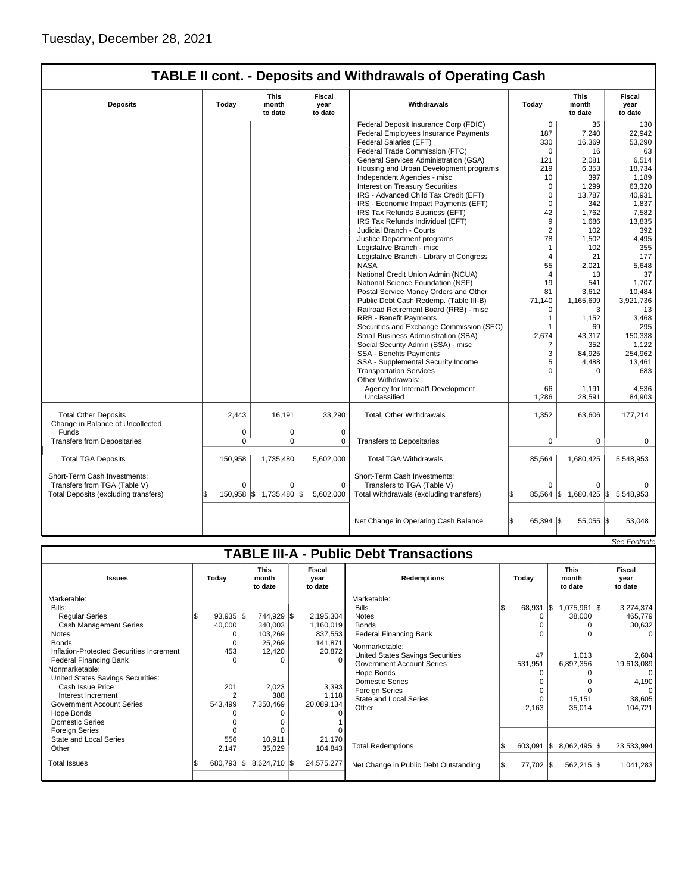$\mathsf{l}$ 

## **TABLE II cont. - Deposits and Withdrawals of Operating Cash**

| <b>Deposits</b>                                                 | Today        | This<br>month<br>to date | <b>Fiscal</b><br>year<br>to date | Withdrawals                              | Today               | This<br>month<br>to date | Fiscal<br>year<br>to date |
|-----------------------------------------------------------------|--------------|--------------------------|----------------------------------|------------------------------------------|---------------------|--------------------------|---------------------------|
|                                                                 |              |                          |                                  | Federal Deposit Insurance Corp (FDIC)    | $\overline{0}$      | 35                       | 130                       |
|                                                                 |              |                          |                                  | Federal Employees Insurance Payments     | 187                 | 7,240                    | 22,942                    |
|                                                                 |              |                          |                                  | Federal Salaries (EFT)                   | 330                 | 16,369                   | 53,290                    |
|                                                                 |              |                          |                                  | Federal Trade Commission (FTC)           | $\mathbf 0$         | 16                       | 63                        |
|                                                                 |              |                          |                                  | General Services Administration (GSA)    | 121                 | 2,081                    | 6,514                     |
|                                                                 |              |                          |                                  | Housing and Urban Development programs   | 219                 | 6,353                    | 18,734                    |
|                                                                 |              |                          |                                  | Independent Agencies - misc              | 10                  | 397                      | 1,189                     |
|                                                                 |              |                          |                                  | Interest on Treasury Securities          | 0                   | 1,299                    | 63,320                    |
|                                                                 |              |                          |                                  | IRS - Advanced Child Tax Credit (EFT)    | 0                   | 13,787                   | 40,931                    |
|                                                                 |              |                          |                                  | IRS - Economic Impact Payments (EFT)     | 0                   | 342                      | 1,837                     |
|                                                                 |              |                          |                                  | IRS Tax Refunds Business (EFT)           | 42                  | 1,762                    | 7,582                     |
|                                                                 |              |                          |                                  | IRS Tax Refunds Individual (EFT)         | 9                   | 1,686                    | 13,835                    |
|                                                                 |              |                          |                                  | Judicial Branch - Courts                 | 2                   | 102                      | 392                       |
|                                                                 |              |                          |                                  | Justice Department programs              | 78                  | 1,502                    | 4,495                     |
|                                                                 |              |                          |                                  | Legislative Branch - misc                | $\mathbf{1}$        | 102                      | 355                       |
|                                                                 |              |                          |                                  | Legislative Branch - Library of Congress | 4                   | 21                       | 177                       |
|                                                                 |              |                          |                                  | <b>NASA</b>                              | 55                  | 2,021                    | 5,648                     |
|                                                                 |              |                          |                                  | National Credit Union Admin (NCUA)       | 4                   | 13                       | 37                        |
|                                                                 |              |                          |                                  | National Science Foundation (NSF)        | 19                  | 541                      | 1.707                     |
|                                                                 |              |                          |                                  | Postal Service Money Orders and Other    | 81                  | 3,612                    | 10,484                    |
|                                                                 |              |                          |                                  | Public Debt Cash Redemp. (Table III-B)   | 71,140              | 1,165,699                | 3,921,736                 |
|                                                                 |              |                          |                                  | Railroad Retirement Board (RRB) - misc   | 0                   | 3                        | 13                        |
|                                                                 |              |                          |                                  | <b>RRB - Benefit Payments</b>            | $\mathbf{1}$        | 1,152                    | 3,468                     |
|                                                                 |              |                          |                                  | Securities and Exchange Commission (SEC) | 1                   | 69                       | 295                       |
|                                                                 |              |                          |                                  | Small Business Administration (SBA)      | 2,674               | 43,317                   | 150,338                   |
|                                                                 |              |                          |                                  | Social Security Admin (SSA) - misc       | $\overline{7}$      | 352                      | 1,122                     |
|                                                                 |              |                          |                                  | SSA - Benefits Payments                  | 3                   | 84,925                   | 254,962                   |
|                                                                 |              |                          |                                  | SSA - Supplemental Security Income       | 5                   | 4,488                    | 13,461                    |
|                                                                 |              |                          |                                  | <b>Transportation Services</b>           | 0                   | $\Omega$                 | 683                       |
|                                                                 |              |                          |                                  | Other Withdrawals:                       |                     |                          |                           |
|                                                                 |              |                          |                                  | Agency for Internat'l Development        | 66                  | 1,191                    | 4,536                     |
|                                                                 |              |                          |                                  | Unclassified                             | 1,286               | 28,591                   | 84,903                    |
| <b>Total Other Deposits</b><br>Change in Balance of Uncollected | 2.443        | 16.191                   | 33.290                           | Total, Other Withdrawals                 | 1,352               | 63,606                   | 177,214                   |
| Funds                                                           | 0            | 0                        | $\mathbf 0$                      |                                          |                     |                          |                           |
| <b>Transfers from Depositaries</b>                              | $\mathbf 0$  | 0                        | $\mathbf 0$                      | <b>Transfers to Depositaries</b>         | 0                   | 0                        | $\mathbf 0$               |
|                                                                 |              |                          |                                  |                                          |                     |                          |                           |
| <b>Total TGA Deposits</b>                                       | 150,958      | 1,735,480                | 5,602,000                        | <b>Total TGA Withdrawals</b>             | 85,564              | 1,680,425                | 5,548,953                 |
| Short-Term Cash Investments:                                    |              |                          |                                  | Short-Term Cash Investments:             |                     |                          |                           |
| Transfers from TGA (Table V)                                    | $\Omega$     | $\Omega$                 | $\Omega$                         | Transfers to TGA (Table V)               | 0                   | $\Omega$                 |                           |
| Total Deposits (excluding transfers)                            | $150,958$ \$ | 1,735,480                | \$<br>5,602,000                  | Total Withdrawals (excluding transfers)  | 85,564              | 1,680,425<br>1\$         | \$<br>5,548,953           |
|                                                                 |              |                          |                                  |                                          |                     |                          |                           |
|                                                                 |              |                          |                                  | Net Change in Operating Cash Balance     | l\$<br>$65,394$ \\$ | 55,055 \$                | 53,048                    |

|                                               |                |                                 |  |                                  |                                         |  |           |                                 |  | See Footnote              |
|-----------------------------------------------|----------------|---------------------------------|--|----------------------------------|-----------------------------------------|--|-----------|---------------------------------|--|---------------------------|
| <b>TABLE III-A - Public Debt Transactions</b> |                |                                 |  |                                  |                                         |  |           |                                 |  |                           |
| <b>Issues</b>                                 | Today          | <b>This</b><br>month<br>to date |  | <b>Fiscal</b><br>vear<br>to date | <b>Redemptions</b>                      |  | Today     | <b>This</b><br>month<br>to date |  | Fiscal<br>vear<br>to date |
| Marketable:                                   |                |                                 |  |                                  | Marketable:                             |  |           |                                 |  |                           |
| Bills:                                        |                |                                 |  |                                  | <b>Bills</b>                            |  | 68,931    | 1,075,961 \$<br>- 1\$           |  | 3,274,374                 |
| <b>Reqular Series</b>                         | $93,935$ \$    | 744,929 \$                      |  | 2,195,304                        | <b>Notes</b>                            |  | $\Omega$  | 38,000                          |  | 465,779                   |
| <b>Cash Management Series</b>                 | 40,000         | 340,003                         |  | 1,160,019                        | <b>Bonds</b>                            |  |           |                                 |  | 30,632                    |
| Notes                                         | 0              | 103,269                         |  | 837,553                          | <b>Federal Financing Bank</b>           |  | $\Omega$  |                                 |  |                           |
| <b>Bonds</b>                                  | 0              | 25,269                          |  | 141,871                          | Nonmarketable:                          |  |           |                                 |  |                           |
| Inflation-Protected Securities Increment      | 453            | 12,420                          |  | 20,872                           | <b>United States Savings Securities</b> |  | 47        | 1,013                           |  | 2,604                     |
| <b>Federal Financing Bank</b>                 | $\Omega$       |                                 |  | $\Omega$                         | <b>Government Account Series</b>        |  | 531,951   | 6,897,356                       |  | 19,613,089                |
| Nonmarketable:                                |                |                                 |  |                                  | Hope Bonds                              |  | n         |                                 |  |                           |
| United States Savings Securities:             |                |                                 |  |                                  | <b>Domestic Series</b>                  |  |           |                                 |  | 4,190                     |
| Cash Issue Price                              | 201            | 2,023                           |  | 3,393                            | <b>Foreign Series</b>                   |  | $\Omega$  |                                 |  |                           |
| Interest Increment                            | $\overline{2}$ | 388                             |  | 1,118                            | <b>State and Local Series</b>           |  | $\Omega$  | 15,151                          |  | 38,605                    |
| <b>Government Account Series</b>              | 543,499        | 7,350,469                       |  | 20,089,134                       | Other                                   |  | 2,163     | 35,014                          |  | 104,721                   |
| Hope Bonds                                    |                | O                               |  |                                  |                                         |  |           |                                 |  |                           |
| Domestic Series                               |                |                                 |  |                                  |                                         |  |           |                                 |  |                           |
| <b>Foreign Series</b>                         |                |                                 |  |                                  |                                         |  |           |                                 |  |                           |
| <b>State and Local Series</b>                 | 556            | 10,911                          |  | 21,170                           |                                         |  |           |                                 |  |                           |
| Other                                         | 2,147          | 35,029                          |  | 104,843                          | <b>Total Redemptions</b>                |  | 603,091   | $8,062,495$ \$<br>I\$           |  | 23,533,994                |
| <b>Total Issues</b>                           | 680,793 \$     | 8,624,710 \$                    |  | 24,575,277                       | Net Change in Public Debt Outstanding   |  | 77,702 \$ | 562,215 \$                      |  | 1,041,283                 |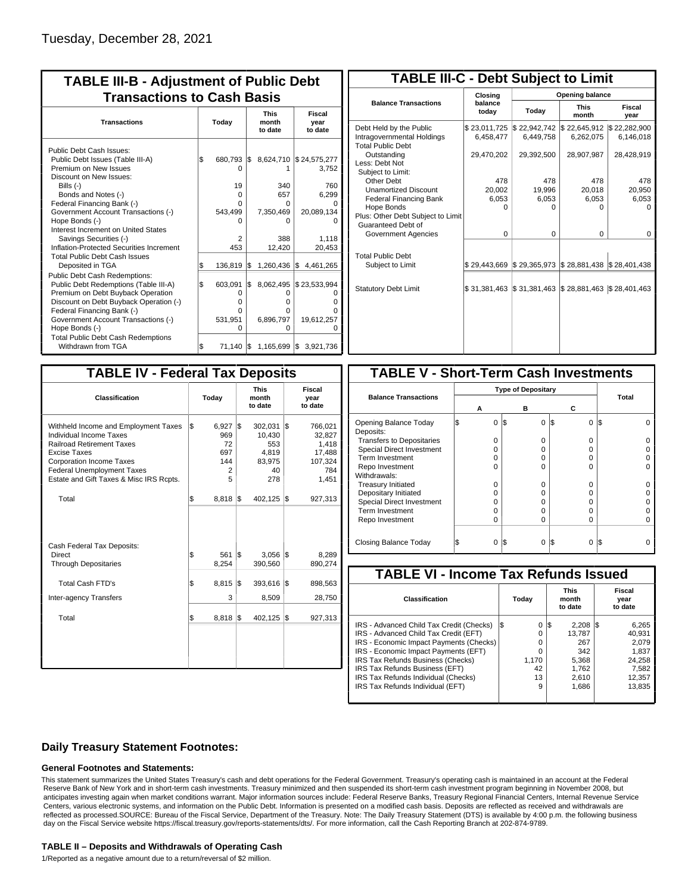| <b>TABLE III-B - Adjustment of Public Debt</b><br><b>Transactions to Cash Basis</b>                                                                                                                                                                                                                           |           |                                                   |            |                                                         |                                                          |  |  |                                 |                           |
|---------------------------------------------------------------------------------------------------------------------------------------------------------------------------------------------------------------------------------------------------------------------------------------------------------------|-----------|---------------------------------------------------|------------|---------------------------------------------------------|----------------------------------------------------------|--|--|---------------------------------|---------------------------|
| <b>Transactions</b>                                                                                                                                                                                                                                                                                           | Today     |                                                   |            |                                                         |                                                          |  |  | <b>This</b><br>month<br>to date | Fiscal<br>year<br>to date |
| Public Debt Cash Issues:<br>Public Debt Issues (Table III-A)<br>Premium on New Issues<br>Discount on New Issues:<br>Bills $(-)$<br>Bonds and Notes (-)<br>Federal Financing Bank (-)<br>Government Account Transactions (-)<br>Hope Bonds (-)                                                                 | \$        | 680,793 \$<br>n<br>19<br>$\Omega$<br>n<br>543,499 |            | 8,624,710<br>340<br>657<br>0<br>7,350,469<br>0          | \$24,575,277<br>3,752<br>760<br>6.299<br>20,089,134      |  |  |                                 |                           |
| Interest Increment on United States<br>Savings Securities (-)<br>Inflation-Protected Securities Increment<br><b>Total Public Debt Cash Issues</b>                                                                                                                                                             |           | 2<br>453                                          |            | 388<br>12,420                                           | 1,118<br>20,453                                          |  |  |                                 |                           |
| Deposited in TGA<br>Public Debt Cash Redemptions:<br>Public Debt Redemptions (Table III-A)<br>Premium on Debt Buyback Operation<br>Discount on Debt Buyback Operation (-)<br>Federal Financing Bank (-)<br>Government Account Transactions (-)<br>Hope Bonds (-)<br><b>Total Public Debt Cash Redemptions</b> | S.<br>l\$ | 136,819<br>603,091<br>0<br>o<br>o<br>531,951<br>U | Ι\$<br>I\$ | 1,260,436<br>8,062,495<br>0<br>0<br>0<br>6,896,797<br>0 | \$4,461,265<br>\$23,533,994<br>O<br>0<br>19,612,257<br>Ω |  |  |                                 |                           |
| Withdrawn from TGA                                                                                                                                                                                                                                                                                            | l\$       | 71,140 \$                                         |            |                                                         | 1,165,699 \$ 3,921,736                                   |  |  |                                 |                           |

| <b>TABLE III-C - Debt Subject to Limit</b>                                        |                           |                           |                           |                           |  |  |  |  |  |  |
|-----------------------------------------------------------------------------------|---------------------------|---------------------------|---------------------------|---------------------------|--|--|--|--|--|--|
|                                                                                   | Closing                   | Opening balance           |                           |                           |  |  |  |  |  |  |
| <b>Balance Transactions</b>                                                       | balance<br>today          | Today                     | <b>This</b><br>month      | Fiscal<br>year            |  |  |  |  |  |  |
| Debt Held by the Public<br>Intragovernmental Holdings<br><b>Total Public Debt</b> | \$23,011,725<br>6,458,477 | \$22,942,742<br>6,449,758 | \$22,645,912<br>6,262,075 | \$22,282,900<br>6,146,018 |  |  |  |  |  |  |
| Outstanding<br>Less: Debt Not<br>Subject to Limit:                                | 29,470,202                | 29,392,500                | 28,907,987                | 28,428,919                |  |  |  |  |  |  |
| <b>Other Debt</b>                                                                 | 478                       | 478                       | 478                       | 478                       |  |  |  |  |  |  |
| <b>Unamortized Discount</b>                                                       | 20,002                    | 19,996                    | 20,018                    | 20,950                    |  |  |  |  |  |  |
| <b>Federal Financing Bank</b>                                                     | 6,053                     | 6,053                     | 6,053                     | 6,053                     |  |  |  |  |  |  |
| Hope Bonds                                                                        | O                         | O                         | 0                         | o                         |  |  |  |  |  |  |
| Plus: Other Debt Subject to Limit<br>Guaranteed Debt of                           |                           |                           |                           |                           |  |  |  |  |  |  |
| Government Agencies                                                               | $\Omega$                  | 0                         | $\Omega$                  | 0                         |  |  |  |  |  |  |
| <b>Total Public Debt</b><br>Subject to Limit                                      | \$29,443,669              | \$29,365,973              | \$28,881,438              | \$28,401,438              |  |  |  |  |  |  |
|                                                                                   |                           |                           |                           |                           |  |  |  |  |  |  |
| <b>Statutory Debt Limit</b>                                                       | \$31.381.463              | \$31,381,463              | \$28,881,463              | \$28,401,463              |  |  |  |  |  |  |
|                                                                                   |                           |                           |                           |                           |  |  |  |  |  |  |

| <b>TABLE IV - Federal Tax Deposits</b>                                                                                                                                                                                                        |     |                                            |     |                                                          |     |                                                                 |  |  |  |
|-----------------------------------------------------------------------------------------------------------------------------------------------------------------------------------------------------------------------------------------------|-----|--------------------------------------------|-----|----------------------------------------------------------|-----|-----------------------------------------------------------------|--|--|--|
| Classification                                                                                                                                                                                                                                |     | Today                                      |     | <b>This</b><br>month<br>to date                          |     | Fiscal<br>year<br>to date                                       |  |  |  |
| Withheld Income and Employment Taxes<br>Individual Income Taxes<br><b>Railroad Retirement Taxes</b><br><b>Excise Taxes</b><br><b>Corporation Income Taxes</b><br><b>Federal Unemployment Taxes</b><br>Estate and Gift Taxes & Misc IRS Rcpts. | l\$ | 6,927<br>969<br>72<br>697<br>144<br>2<br>5 | l\$ | 302,031<br>10,430<br>553<br>4,819<br>83,975<br>40<br>278 | l\$ | 766,021<br>32,827<br>1,418<br>17,488<br>107,324<br>784<br>1,451 |  |  |  |
| Total                                                                                                                                                                                                                                         | \$  | $8,818$ \\$                                |     | 402,125                                                  | 1\$ | 927,313                                                         |  |  |  |
| Cash Federal Tax Deposits:<br><b>Direct</b><br><b>Through Depositaries</b>                                                                                                                                                                    | \$  | 561<br>8,254                               | l\$ | 3,056<br>390,560                                         | 1\$ | 8,289<br>890,274                                                |  |  |  |
| <b>Total Cash FTD's</b><br><b>Inter-agency Transfers</b>                                                                                                                                                                                      | Ŝ.  | 8,815<br>3                                 | l\$ | 393,616<br>8,509                                         | 1\$ | 898,563<br>28,750                                               |  |  |  |
| Total                                                                                                                                                                                                                                         | \$  | 8,818                                      | 1\$ | 402,125                                                  | 1\$ | 927,313                                                         |  |  |  |
|                                                                                                                                                                                                                                               |     |                                            |     |                                                          |     |                                                                 |  |  |  |

| <b>TABLE V - Short-Term Cash Investments</b> |                           |     |   |          |       |  |  |  |  |  |
|----------------------------------------------|---------------------------|-----|---|----------|-------|--|--|--|--|--|
|                                              | <b>Type of Depositary</b> |     |   |          |       |  |  |  |  |  |
| <b>Balance Transactions</b>                  |                           |     |   |          | Total |  |  |  |  |  |
|                                              | А                         |     | в | С        |       |  |  |  |  |  |
| Opening Balance Today<br>Deposits:           | 0                         | l\$ | 0 | I\$<br>0 | l\$   |  |  |  |  |  |
| <b>Transfers to Depositaries</b>             | O                         |     | 0 | $\Omega$ |       |  |  |  |  |  |
| <b>Special Direct Investment</b>             | O                         |     | O | 0        |       |  |  |  |  |  |
| Term Investment                              | O                         |     | 0 | 0        |       |  |  |  |  |  |
| Repo Investment                              | U                         |     | U | U        |       |  |  |  |  |  |
| Withdrawals:                                 |                           |     |   |          |       |  |  |  |  |  |
| <b>Treasury Initiated</b>                    | O                         |     | 0 | 0        |       |  |  |  |  |  |
| Depositary Initiated                         | O                         |     | O | U        |       |  |  |  |  |  |
| <b>Special Direct Investment</b>             | Ω                         |     | O | 0        |       |  |  |  |  |  |
| <b>Term Investment</b>                       | ი                         |     | O | $\Omega$ |       |  |  |  |  |  |
| Repo Investment                              | 0                         |     | 0 | 0        |       |  |  |  |  |  |
|                                              |                           |     |   |          |       |  |  |  |  |  |
| Closing Balance Today                        | 0                         | I\$ | 0 | I\$<br>0 | l\$   |  |  |  |  |  |

| <b>TABLE VI - Income Tax Refunds Issued</b> |     |       |                                 |                    |  |                           |  |  |  |  |
|---------------------------------------------|-----|-------|---------------------------------|--------------------|--|---------------------------|--|--|--|--|
| Classification                              |     | Today | <b>This</b><br>month<br>to date |                    |  | Fiscal<br>year<br>to date |  |  |  |  |
| IRS - Advanced Child Tax Credit (Checks)    | l\$ | 0     | 13                              | $2.208$ $\sqrt{3}$ |  | 6,265                     |  |  |  |  |
| IRS - Advanced Child Tax Credit (EFT)       |     | 0     |                                 | 13.787             |  | 40.931                    |  |  |  |  |
| IRS - Economic Impact Payments (Checks)     |     | 0     |                                 | 267                |  | 2.079                     |  |  |  |  |
| IRS - Economic Impact Payments (EFT)        |     | 0     |                                 | 342                |  | 1.837                     |  |  |  |  |
| IRS Tax Refunds Business (Checks)           |     | 1.170 |                                 | 5.368              |  | 24.258                    |  |  |  |  |
| IRS Tax Refunds Business (EFT)              |     | 42    |                                 | 1.762              |  | 7,582                     |  |  |  |  |
| IRS Tax Refunds Individual (Checks)         |     | 13    |                                 | 2.610              |  | 12,357                    |  |  |  |  |
| IRS Tax Refunds Individual (EFT)            |     | 9     |                                 | 1,686              |  | 13.835                    |  |  |  |  |
|                                             |     |       |                                 |                    |  |                           |  |  |  |  |

### **Daily Treasury Statement Footnotes:**

#### **General Footnotes and Statements:**

This statement summarizes the United States Treasury's cash and debt operations for the Federal Government. Treasury's operating cash is maintained in an account at the Federal Reserve Bank of New York and in short-term cash investments. Treasury minimized and then suspended its short-term cash investment program beginning in November 2008, but anticipates investing again when market conditions warrant. Major information sources include: Federal Reserve Banks, Treasury Regional Financial Centers, Internal Revenue Service Centers, various electronic systems, and information on the Public Debt. Information is presented on a modified cash basis. Deposits are reflected as received and withdrawals are reflected as processed.SOURCE: Bureau of the Fiscal Service, Department of the Treasury. Note: The Daily Treasury Statement (DTS) is available by 4:00 p.m. the following business day on the Fiscal Service website https://fiscal.treasury.gov/reports-statements/dts/. For more information, call the Cash Reporting Branch at 202-874-9789.

#### **TABLE II – Deposits and Withdrawals of Operating Cash**

1/Reported as a negative amount due to a return/reversal of \$2 million.